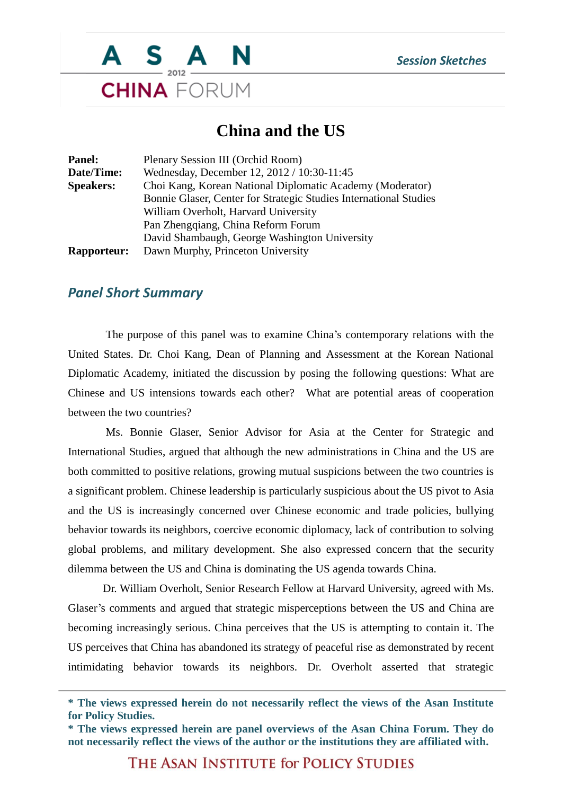

## **China and the US**

| <b>Panel:</b>      | Plenary Session III (Orchid Room)                                 |
|--------------------|-------------------------------------------------------------------|
| Date/Time:         | Wednesday, December 12, 2012 / 10:30-11:45                        |
| <b>Speakers:</b>   | Choi Kang, Korean National Diplomatic Academy (Moderator)         |
|                    | Bonnie Glaser, Center for Strategic Studies International Studies |
|                    | William Overholt, Harvard University                              |
|                    | Pan Zhengqiang, China Reform Forum                                |
|                    | David Shambaugh, George Washington University                     |
| <b>Rapporteur:</b> | Dawn Murphy, Princeton University                                 |
|                    |                                                                   |

## *Panel Short Summary*

The purpose of this panel was to examine China's contemporary relations with the United States. Dr. Choi Kang, Dean of Planning and Assessment at the Korean National Diplomatic Academy, initiated the discussion by posing the following questions: What are Chinese and US intensions towards each other? What are potential areas of cooperation between the two countries?

Ms. Bonnie Glaser, Senior Advisor for Asia at the Center for Strategic and International Studies, argued that although the new administrations in China and the US are both committed to positive relations, growing mutual suspicions between the two countries is a significant problem. Chinese leadership is particularly suspicious about the US pivot to Asia and the US is increasingly concerned over Chinese economic and trade policies, bullying behavior towards its neighbors, coercive economic diplomacy, lack of contribution to solving global problems, and military development. She also expressed concern that the security dilemma between the US and China is dominating the US agenda towards China.

Dr. William Overholt, Senior Research Fellow at Harvard University, agreed with Ms. Glaser's comments and argued that strategic misperceptions between the US and China are becoming increasingly serious. China perceives that the US is attempting to contain it. The US perceives that China has abandoned its strategy of peaceful rise as demonstrated by recent intimidating behavior towards its neighbors. Dr. Overholt asserted that strategic

THE ASAN INSTITUTE for POLICY STUDIES

**<sup>\*</sup> The views expressed herein do not necessarily reflect the views of the Asan Institute for Policy Studies.**

**<sup>\*</sup> The views expressed herein are panel overviews of the Asan China Forum. They do not necessarily reflect the views of the author or the institutions they are affiliated with.**